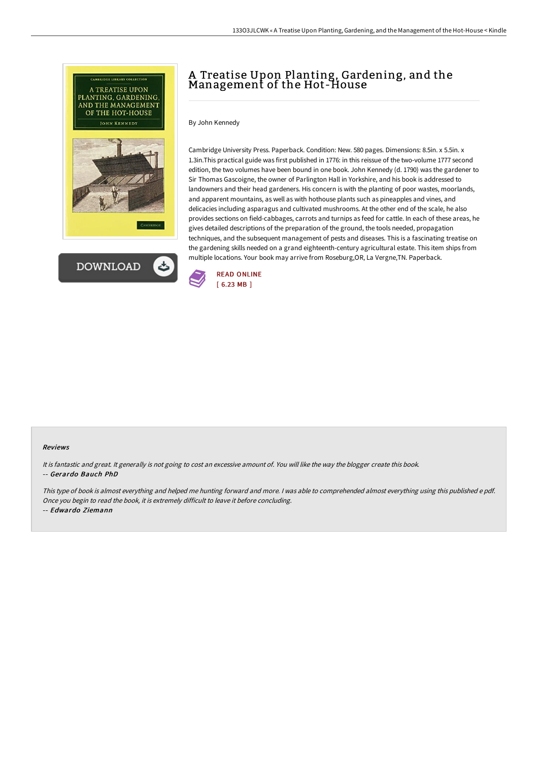



## A Treatise Upon Planting, Gardening, and the Management of the Hot-House

By John Kennedy

Cambridge University Press. Paperback. Condition: New. 580 pages. Dimensions: 8.5in. x 5.5in. x 1.3in.This practical guide was first published in 1776: in this reissue of the two-volume 1777 second edition, the two volumes have been bound in one book. John Kennedy (d. 1790) was the gardener to Sir Thomas Gascoigne, the owner of Parlington Hall in Yorkshire, and his book is addressed to landowners and their head gardeners. His concern is with the planting of poor wastes, moorlands, and apparent mountains, as well as with hothouse plants such as pineapples and vines, and delicacies including asparagus and cultivated mushrooms. At the other end of the scale, he also provides sections on field-cabbages, carrots and turnips as feed for cattle. In each of these areas, he gives detailed descriptions of the preparation of the ground, the tools needed, propagation techniques, and the subsequent management of pests and diseases. This is a fascinating treatise on the gardening skills needed on a grand eighteenth-century agricultural estate. This item ships from multiple locations. Your book may arrive from Roseburg,OR, La Vergne,TN. Paperback.



## Reviews

It is fantastic and great. It generally is not going to cost an excessive amount of. You will like the way the blogger create this book. -- Gerardo Bauch PhD

This type of book is almost everything and helped me hunting forward and more. <sup>I</sup> was able to comprehended almost everything using this published <sup>e</sup> pdf. Once you begin to read the book, it is extremely difficult to leave it before concluding.

-- Edwardo Ziemann